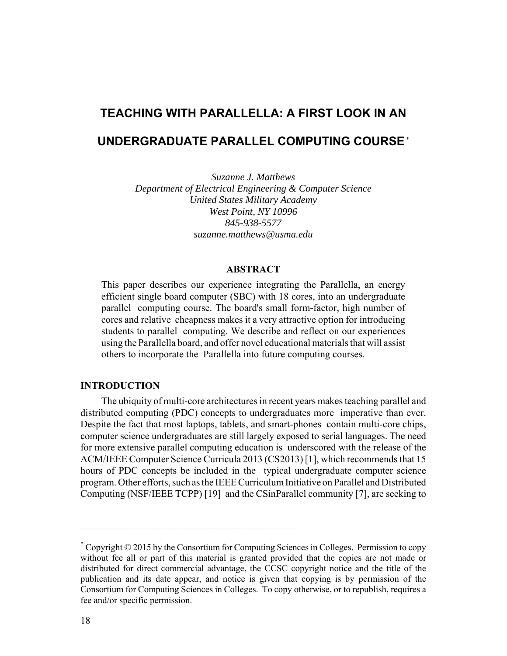# **TEACHING WITH PARALLELLA: A FIRST LOOK IN AN UNDERGRADUATE PARALLEL COMPUTING COURSE** \*

*Suzanne J. Matthews Department of Electrical Engineering & Computer Science United States Military Academy West Point, NY 10996 845-938-5577 suzanne.matthews@usma.edu*

# **ABSTRACT**

This paper describes our experience integrating the Parallella, an energy efficient single board computer (SBC) with 18 cores, into an undergraduate parallel computing course. The board's small form-factor, high number of cores and relative cheapness makes it a very attractive option for introducing students to parallel computing. We describe and reflect on our experiences using the Parallella board, and offer novel educational materials that will assist others to incorporate the Parallella into future computing courses.

# **INTRODUCTION**

The ubiquity of multi-core architectures in recent years makes teaching parallel and distributed computing (PDC) concepts to undergraduates more imperative than ever. Despite the fact that most laptops, tablets, and smart-phones contain multi-core chips, computer science undergraduates are still largely exposed to serial languages. The need for more extensive parallel computing education is underscored with the release of the ACM/IEEE Computer Science Curricula 2013 (CS2013) [1], which recommends that 15 hours of PDC concepts be included in the typical undergraduate computer science program. Other efforts, such as the IEEE Curriculum Initiative on Parallel and Distributed Computing (NSF/IEEE TCPP) [19] and the CSinParallel community [7], are seeking to

 $\mathcal{L}_\text{max}$  , and the contract of the contract of the contract of the contract of the contract of the contract of the contract of the contract of the contract of the contract of the contract of the contract of the contr

<sup>\*</sup> Copyright © 2015 by the Consortium for Computing Sciences in Colleges. Permission to copy without fee all or part of this material is granted provided that the copies are not made or distributed for direct commercial advantage, the CCSC copyright notice and the title of the publication and its date appear, and notice is given that copying is by permission of the Consortium for Computing Sciences in Colleges. To copy otherwise, or to republish, requires a fee and/or specific permission.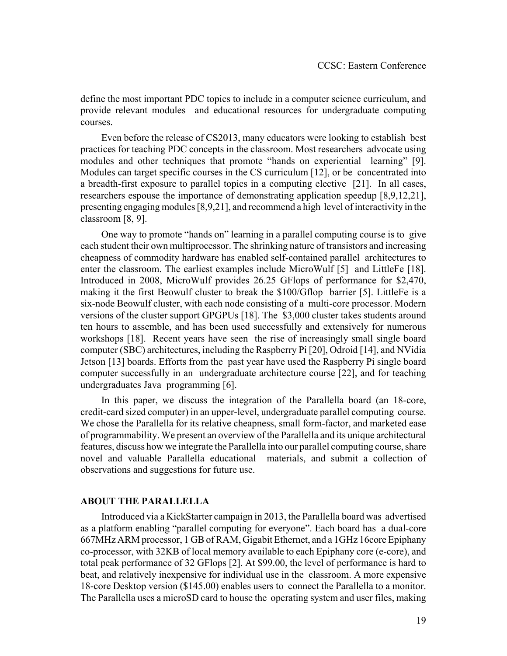define the most important PDC topics to include in a computer science curriculum, and provide relevant modules and educational resources for undergraduate computing courses.

Even before the release of CS2013, many educators were looking to establish best practices for teaching PDC concepts in the classroom. Most researchers advocate using modules and other techniques that promote "hands on experiential learning" [9]. Modules can target specific courses in the CS curriculum [12], or be concentrated into a breadth-first exposure to parallel topics in a computing elective [21]. In all cases, researchers espouse the importance of demonstrating application speedup [8,9,12,21], presenting engaging modules [8,9,21], and recommend a high level of interactivity in the classroom [8, 9].

One way to promote "hands on" learning in a parallel computing course is to give each student their own multiprocessor. The shrinking nature of transistors and increasing cheapness of commodity hardware has enabled self-contained parallel architectures to enter the classroom. The earliest examples include MicroWulf [5] and LittleFe [18]. Introduced in 2008, MicroWulf provides 26.25 GFlops of performance for \$2,470, making it the first Beowulf cluster to break the \$100/Gflop barrier [5]. LittleFe is a six-node Beowulf cluster, with each node consisting of a multi-core processor. Modern versions of the cluster support GPGPUs [18]. The \$3,000 cluster takes students around ten hours to assemble, and has been used successfully and extensively for numerous workshops [18]. Recent years have seen the rise of increasingly small single board computer (SBC) architectures, including the Raspberry Pi [20], Odroid [14], and NVidia Jetson [13] boards. Efforts from the past year have used the Raspberry Pi single board computer successfully in an undergraduate architecture course [22], and for teaching undergraduates Java programming [6].

In this paper, we discuss the integration of the Parallella board (an 18-core, credit-card sized computer) in an upper-level, undergraduate parallel computing course. We chose the Parallella for its relative cheapness, small form-factor, and marketed ease of programmability. We present an overview of the Parallella and its unique architectural features, discuss how we integrate the Parallella into our parallel computing course, share novel and valuable Parallella educational materials, and submit a collection of observations and suggestions for future use.

## **ABOUT THE PARALLELLA**

Introduced via a KickStarter campaign in 2013, the Parallella board was advertised as a platform enabling "parallel computing for everyone". Each board has a dual-core 667MHz ARM processor, 1 GB of RAM, Gigabit Ethernet, and a 1GHz 16core Epiphany co-processor, with 32KB of local memory available to each Epiphany core (e-core), and total peak performance of 32 GFlops [2]. At \$99.00, the level of performance is hard to beat, and relatively inexpensive for individual use in the classroom. A more expensive 18-core Desktop version (\$145.00) enables users to connect the Parallella to a monitor. The Parallella uses a microSD card to house the operating system and user files, making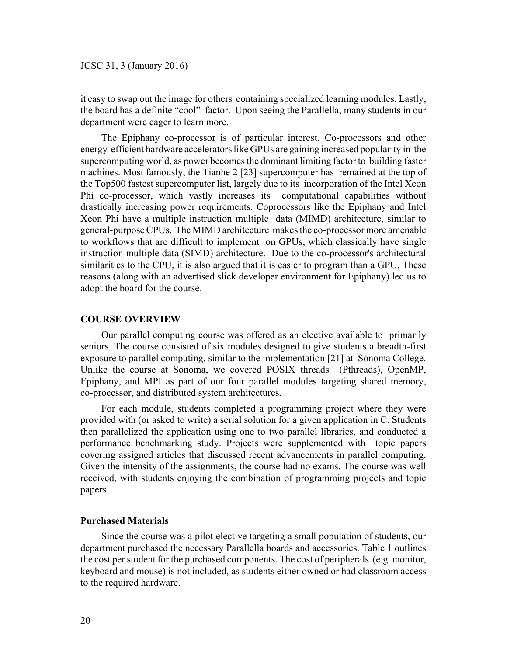it easy to swap out the image for others containing specialized learning modules. Lastly, the board has a definite "cool" factor. Upon seeing the Parallella, many students in our department were eager to learn more.

The Epiphany co-processor is of particular interest. Co-processors and other energy-efficient hardware accelerators like GPUs are gaining increased popularity in the supercomputing world, as power becomes the dominant limiting factor to building faster machines. Most famously, the Tianhe 2 [23] supercomputer has remained at the top of the Top500 fastest supercomputer list, largely due to its incorporation of the Intel Xeon Phi co-processor, which vastly increases its computational capabilities without drastically increasing power requirements. Coprocessors like the Epiphany and Intel Xeon Phi have a multiple instruction multiple data (MIMD) architecture, similar to general-purpose CPUs. The MIMD architecture makes the co-processor more amenable to workflows that are difficult to implement on GPUs, which classically have single instruction multiple data (SIMD) architecture. Due to the co-processor's architectural similarities to the CPU, it is also argued that it is easier to program than a GPU. These reasons (along with an advertised slick developer environment for Epiphany) led us to adopt the board for the course.

## **COURSE OVERVIEW**

Our parallel computing course was offered as an elective available to primarily seniors. The course consisted of six modules designed to give students a breadth-first exposure to parallel computing, similar to the implementation [21] at Sonoma College. Unlike the course at Sonoma, we covered POSIX threads (Pthreads), OpenMP, Epiphany, and MPI as part of our four parallel modules targeting shared memory, co-processor, and distributed system architectures.

For each module, students completed a programming project where they were provided with (or asked to write) a serial solution for a given application in C. Students then parallelized the application using one to two parallel libraries, and conducted a performance benchmarking study. Projects were supplemented with topic papers covering assigned articles that discussed recent advancements in parallel computing. Given the intensity of the assignments, the course had no exams. The course was well received, with students enjoying the combination of programming projects and topic papers.

## **Purchased Materials**

Since the course was a pilot elective targeting a small population of students, our department purchased the necessary Parallella boards and accessories. Table 1 outlines the cost per student for the purchased components. The cost of peripherals (e.g. monitor, keyboard and mouse) is not included, as students either owned or had classroom access to the required hardware.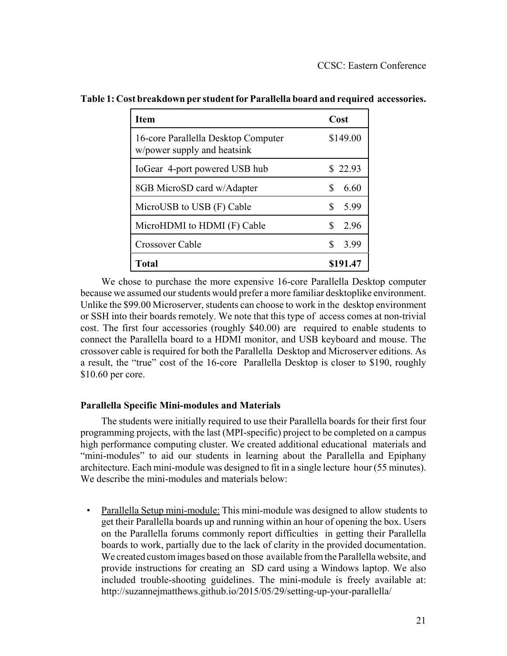| <b>Item</b>                                                        | Cost      |
|--------------------------------------------------------------------|-----------|
| 16-core Parallella Desktop Computer<br>w/power supply and heatsink | \$149.00  |
| IoGear 4-port powered USB hub                                      | \$22.93   |
| 8GB MicroSD card w/Adapter                                         | 6.60      |
| MicroUSB to USB (F) Cable                                          | S<br>5.99 |
| MicroHDMI to HDMI (F) Cable                                        | S<br>296  |
| Crossover Cable                                                    | 3.99      |
| Total                                                              | \$191.47  |

**Table 1: Cost breakdown per student for Parallella board and required accessories.** 

We chose to purchase the more expensive 16-core Parallella Desktop computer because we assumed our students would prefer a more familiar desktoplike environment. Unlike the \$99.00 Microserver, students can choose to work in the desktop environment or SSH into their boards remotely. We note that this type of access comes at non-trivial cost. The first four accessories (roughly \$40.00) are required to enable students to connect the Parallella board to a HDMI monitor, and USB keyboard and mouse. The crossover cable is required for both the Parallella Desktop and Microserver editions. As a result, the "true" cost of the 16-core Parallella Desktop is closer to \$190, roughly \$10.60 per core.

# **Parallella Specific Mini-modules and Materials**

The students were initially required to use their Parallella boards for their first four programming projects, with the last (MPI-specific) project to be completed on a campus high performance computing cluster. We created additional educational materials and "mini-modules" to aid our students in learning about the Parallella and Epiphany architecture. Each mini-module was designed to fit in a single lecture hour (55 minutes). We describe the mini-modules and materials below:

 • Parallella Setup mini-module: This mini-module was designed to allow students to get their Parallella boards up and running within an hour of opening the box. Users on the Parallella forums commonly report difficulties in getting their Parallella boards to work, partially due to the lack of clarity in the provided documentation. We created custom images based on those available from the Parallella website, and provide instructions for creating an SD card using a Windows laptop. We also included trouble-shooting guidelines. The mini-module is freely available at: http://suzannejmatthews.github.io/2015/05/29/setting-up-your-parallella/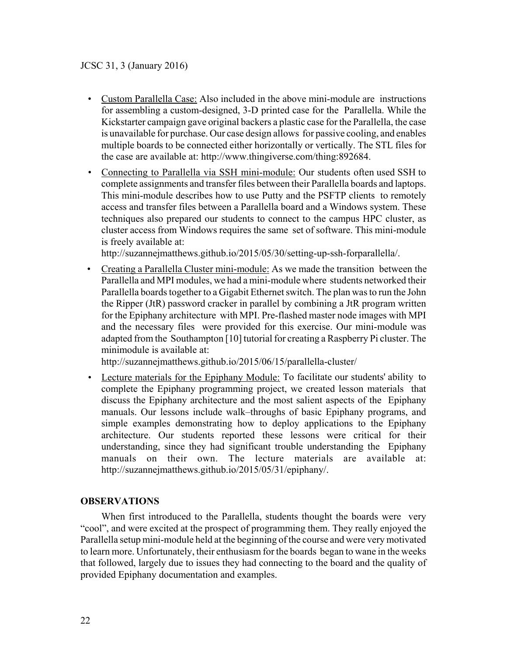- Custom Parallella Case: Also included in the above mini-module are instructions for assembling a custom-designed, 3-D printed case for the Parallella. While the Kickstarter campaign gave original backers a plastic case for the Parallella, the case is unavailable for purchase. Our case design allows for passive cooling, and enables multiple boards to be connected either horizontally or vertically. The STL files for the case are available at: http://www.thingiverse.com/thing:892684.
- Connecting to Parallella via SSH mini-module: Our students often used SSH to complete assignments and transfer files between their Parallella boards and laptops. This mini-module describes how to use Putty and the PSFTP clients to remotely access and transfer files between a Parallella board and a Windows system. These techniques also prepared our students to connect to the campus HPC cluster, as cluster access from Windows requires the same set of software. This mini-module is freely available at:

http://suzannejmatthews.github.io/2015/05/30/setting-up-ssh-forparallella/.

 • Creating a Parallella Cluster mini-module: As we made the transition between the Parallella and MPI modules, we had a mini-module where students networked their Parallella boards together to a Gigabit Ethernet switch. The plan was to run the John the Ripper (JtR) password cracker in parallel by combining a JtR program written for the Epiphany architecture with MPI. Pre-flashed master node images with MPI and the necessary files were provided for this exercise. Our mini-module was adapted from the Southampton [10] tutorial for creating a Raspberry Pi cluster. The minimodule is available at:

http://suzannejmatthews.github.io/2015/06/15/parallella-cluster/

 • Lecture materials for the Epiphany Module: To facilitate our students' ability to complete the Epiphany programming project, we created lesson materials that discuss the Epiphany architecture and the most salient aspects of the Epiphany manuals. Our lessons include walk–throughs of basic Epiphany programs, and simple examples demonstrating how to deploy applications to the Epiphany architecture. Our students reported these lessons were critical for their understanding, since they had significant trouble understanding the Epiphany manuals on their own. The lecture materials are available at: http://suzannejmatthews.github.io/2015/05/31/epiphany/.

# **OBSERVATIONS**

When first introduced to the Parallella, students thought the boards were very "cool", and were excited at the prospect of programming them. They really enjoyed the Parallella setup mini-module held at the beginning of the course and were very motivated to learn more. Unfortunately, their enthusiasm for the boards began to wane in the weeks that followed, largely due to issues they had connecting to the board and the quality of provided Epiphany documentation and examples.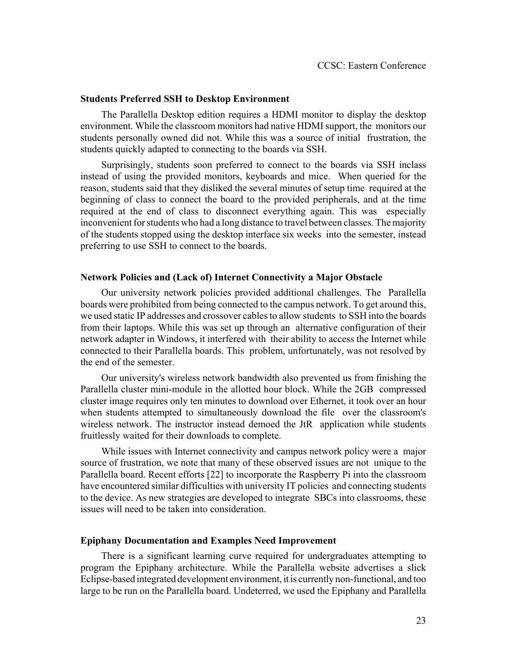#### **Students Preferred SSH to Desktop Environment**

The Parallella Desktop edition requires a HDMI monitor to display the desktop environment. While the classroom monitors had native HDMI support, the monitors our students personally owned did not. While this was a source of initial frustration, the students quickly adapted to connecting to the boards via SSH.

Surprisingly, students soon preferred to connect to the boards via SSH inclass instead of using the provided monitors, keyboards and mice. When queried for the reason, students said that they disliked the several minutes of setup time required at the beginning of class to connect the board to the provided peripherals, and at the time required at the end of class to disconnect everything again. This was especially inconvenient for students who had a long distance to travel between classes. The majority of the students stopped using the desktop interface six weeks into the semester, instead preferring to use SSH to connect to the boards.

## **Network Policies and (Lack of) Internet Connectivity a Major Obstacle**

Our university network policies provided additional challenges. The Parallella boards were prohibited from being connected to the campus network. To get around this, we used static IP addresses and crossover cables to allow students to SSH into the boards from their laptops. While this was set up through an alternative configuration of their network adapter in Windows, it interfered with their ability to access the Internet while connected to their Parallella boards. This problem, unfortunately, was not resolved by the end of the semester.

Our university's wireless network bandwidth also prevented us from finishing the Parallella cluster mini-module in the allotted hour block. While the 2GB compressed cluster image requires only ten minutes to download over Ethernet, it took over an hour when students attempted to simultaneously download the file over the classroom's wireless network. The instructor instead demoed the JtR application while students fruitlessly waited for their downloads to complete.

While issues with Internet connectivity and campus network policy were a major source of frustration, we note that many of these observed issues are not unique to the Parallella board. Recent efforts [22] to incorporate the Raspberry Pi into the classroom have encountered similar difficulties with university IT policies and connecting students to the device. As new strategies are developed to integrate SBCs into classrooms, these issues will need to be taken into consideration.

## **Epiphany Documentation and Examples Need Improvement**

There is a significant learning curve required for undergraduates attempting to program the Epiphany architecture. While the Parallella website advertises a slick Eclipse-based integrated development environment, it is currently non-functional, and too large to be run on the Parallella board. Undeterred, we used the Epiphany and Parallella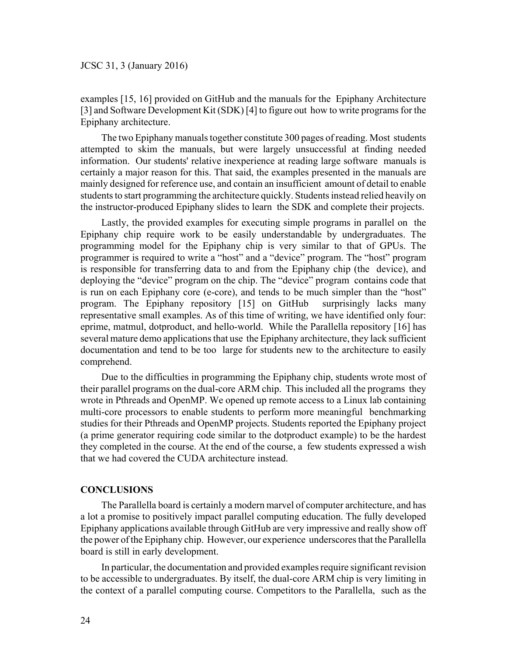examples [15, 16] provided on GitHub and the manuals for the Epiphany Architecture [3] and Software Development Kit (SDK) [4] to figure out how to write programs for the Epiphany architecture.

The two Epiphany manuals together constitute 300 pages of reading. Most students attempted to skim the manuals, but were largely unsuccessful at finding needed information. Our students' relative inexperience at reading large software manuals is certainly a major reason for this. That said, the examples presented in the manuals are mainly designed for reference use, and contain an insufficient amount of detail to enable students to start programming the architecture quickly. Students instead relied heavily on the instructor-produced Epiphany slides to learn the SDK and complete their projects.

Lastly, the provided examples for executing simple programs in parallel on the Epiphany chip require work to be easily understandable by undergraduates. The programming model for the Epiphany chip is very similar to that of GPUs. The programmer is required to write a "host" and a "device" program. The "host" program is responsible for transferring data to and from the Epiphany chip (the device), and deploying the "device" program on the chip. The "device" program contains code that is run on each Epiphany core (e-core), and tends to be much simpler than the "host" program. The Epiphany repository [15] on GitHub surprisingly lacks many representative small examples. As of this time of writing, we have identified only four: eprime, matmul, dotproduct, and hello-world. While the Parallella repository [16] has several mature demo applications that use the Epiphany architecture, they lack sufficient documentation and tend to be too large for students new to the architecture to easily comprehend.

Due to the difficulties in programming the Epiphany chip, students wrote most of their parallel programs on the dual-core ARM chip. This included all the programs they wrote in Pthreads and OpenMP. We opened up remote access to a Linux lab containing multi-core processors to enable students to perform more meaningful benchmarking studies for their Pthreads and OpenMP projects. Students reported the Epiphany project (a prime generator requiring code similar to the dotproduct example) to be the hardest they completed in the course. At the end of the course, a few students expressed a wish that we had covered the CUDA architecture instead.

# **CONCLUSIONS**

The Parallella board is certainly a modern marvel of computer architecture, and has a lot a promise to positively impact parallel computing education. The fully developed Epiphany applications available through GitHub are very impressive and really show off the power of the Epiphany chip. However, our experience underscores that the Parallella board is still in early development.

In particular, the documentation and provided examples require significant revision to be accessible to undergraduates. By itself, the dual-core ARM chip is very limiting in the context of a parallel computing course. Competitors to the Parallella, such as the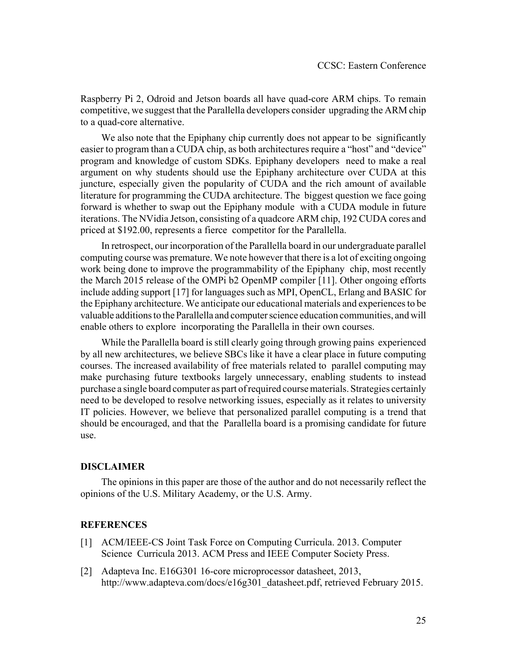Raspberry Pi 2, Odroid and Jetson boards all have quad-core ARM chips. To remain competitive, we suggest that the Parallella developers consider upgrading the ARM chip to a quad-core alternative.

We also note that the Epiphany chip currently does not appear to be significantly easier to program than a CUDA chip, as both architectures require a "host" and "device" program and knowledge of custom SDKs. Epiphany developers need to make a real argument on why students should use the Epiphany architecture over CUDA at this juncture, especially given the popularity of CUDA and the rich amount of available literature for programming the CUDA architecture. The biggest question we face going forward is whether to swap out the Epiphany module with a CUDA module in future iterations. The NVidia Jetson, consisting of a quadcore ARM chip, 192 CUDA cores and priced at \$192.00, represents a fierce competitor for the Parallella.

In retrospect, our incorporation of the Parallella board in our undergraduate parallel computing course was premature. We note however that there is a lot of exciting ongoing work being done to improve the programmability of the Epiphany chip, most recently the March 2015 release of the OMPi b2 OpenMP compiler [11]. Other ongoing efforts include adding support [17] for languages such as MPI, OpenCL, Erlang and BASIC for the Epiphany architecture. We anticipate our educational materials and experiences to be valuable additions to the Parallella and computer science education communities, and will enable others to explore incorporating the Parallella in their own courses.

While the Parallella board is still clearly going through growing pains experienced by all new architectures, we believe SBCs like it have a clear place in future computing courses. The increased availability of free materials related to parallel computing may make purchasing future textbooks largely unnecessary, enabling students to instead purchase a single board computer as part of required course materials. Strategies certainly need to be developed to resolve networking issues, especially as it relates to university IT policies. However, we believe that personalized parallel computing is a trend that should be encouraged, and that the Parallella board is a promising candidate for future use.

# **DISCLAIMER**

The opinions in this paper are those of the author and do not necessarily reflect the opinions of the U.S. Military Academy, or the U.S. Army.

# **REFERENCES**

- [1] ACM/IEEE-CS Joint Task Force on Computing Curricula. 2013. Computer Science Curricula 2013. ACM Press and IEEE Computer Society Press.
- [2] Adapteva Inc. E16G301 16-core microprocessor datasheet, 2013, http://www.adapteva.com/docs/e16g301\_datasheet.pdf, retrieved February 2015.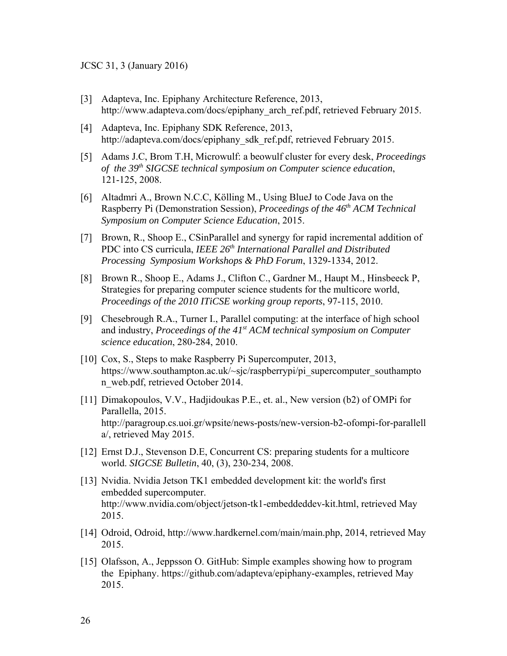## JCSC 31, 3 (January 2016)

- [3] Adapteva, Inc. Epiphany Architecture Reference, 2013, http://www.adapteva.com/docs/epiphany\_arch\_ref.pdf, retrieved February 2015.
- [4] Adapteva, Inc. Epiphany SDK Reference, 2013, http://adapteva.com/docs/epiphany\_sdk\_ref.pdf, retrieved February 2015.
- [5] Adams J.C, Brom T.H, Microwulf: a beowulf cluster for every desk, *Proceedings of the 39th SIGCSE technical symposium on Computer science education*, 121-125, 2008.
- [6] Altadmri A., Brown N.C.C, Kölling M., Using BlueJ to Code Java on the Raspberry Pi (Demonstration Session), *Proceedings of the 46<sup>th</sup> ACM Technical Symposium on Computer Science Education*, 2015.
- [7] Brown, R., Shoop E., CSinParallel and synergy for rapid incremental addition of PDC into CS curricula, *IEEE 26<sup>th</sup> International Parallel and Distributed Processing Symposium Workshops & PhD Forum*, 1329-1334, 2012.
- [8] Brown R., Shoop E., Adams J., Clifton C., Gardner M., Haupt M., Hinsbeeck P, Strategies for preparing computer science students for the multicore world, *Proceedings of the 2010 ITiCSE working group reports*, 97-115, 2010.
- [9] Chesebrough R.A., Turner I., Parallel computing: at the interface of high school and industry, *Proceedings of the 41st ACM technical symposium on Computer science education*, 280-284, 2010.
- [10] Cox, S., Steps to make Raspberry Pi Supercomputer, 2013, https://www.southampton.ac.uk/~sjc/raspberrypi/pi\_supercomputer\_southampto n\_web.pdf, retrieved October 2014.
- [11] Dimakopoulos, V.V., Hadjidoukas P.E., et. al., New version (b2) of OMPi for Parallella, 2015. http://paragroup.cs.uoi.gr/wpsite/news-posts/new-version-b2-ofompi-for-parallell a/, retrieved May 2015.
- [12] Ernst D.J., Stevenson D.E, Concurrent CS: preparing students for a multicore world. *SIGCSE Bulletin*, 40, (3), 230-234, 2008.
- [13] Nvidia. Nvidia Jetson TK1 embedded development kit: the world's first embedded supercomputer. http://www.nvidia.com/object/jetson-tk1-embeddeddev-kit.html, retrieved May 2015.
- [14] Odroid, Odroid, http://www.hardkernel.com/main/main.php, 2014, retrieved May 2015.
- [15] Olafsson, A., Jeppsson O. GitHub: Simple examples showing how to program the Epiphany. https://github.com/adapteva/epiphany-examples, retrieved May 2015.